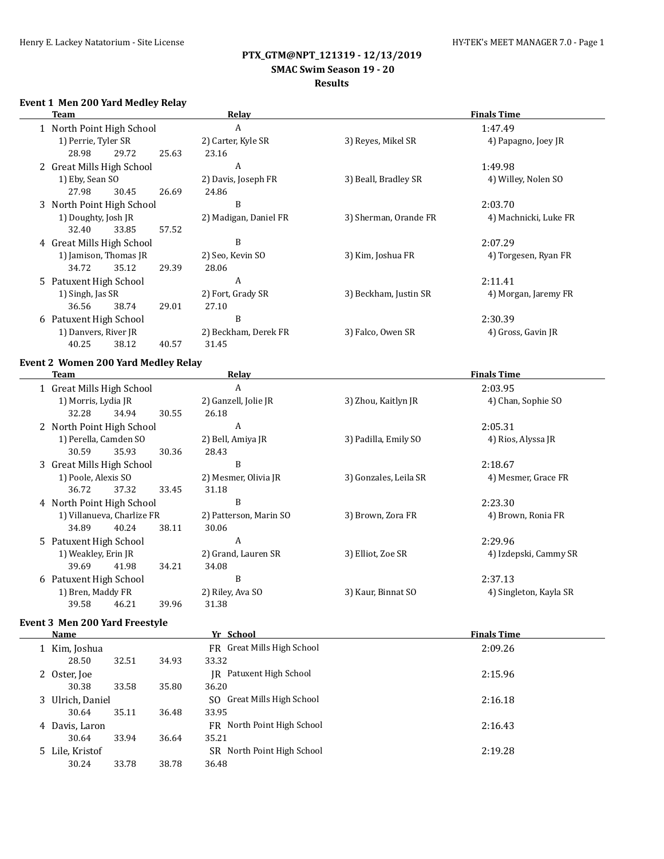# **SMAC Swim Season 19 - 20**

# **Results**

## **Event 1 Men 200 Yard Medley Relay**

| Team |                           |       |       | <b>Relay</b>          | <b>Finals Time</b>    |                       |  |  |
|------|---------------------------|-------|-------|-----------------------|-----------------------|-----------------------|--|--|
|      | 1 North Point High School |       |       | A                     |                       | 1:47.49               |  |  |
|      | 1) Perrie, Tyler SR       |       |       | 2) Carter, Kyle SR    | 3) Reyes, Mikel SR    | 4) Papagno, Joey JR   |  |  |
|      | 28.98                     | 29.72 | 25.63 | 23.16                 |                       |                       |  |  |
|      | 2 Great Mills High School |       |       | A                     |                       | 1:49.98               |  |  |
|      | 1) Eby, Sean SO           |       |       | 2) Davis, Joseph FR   | 3) Beall, Bradley SR  | 4) Willey, Nolen SO   |  |  |
|      | 27.98                     | 30.45 | 26.69 | 24.86                 |                       |                       |  |  |
|      | 3 North Point High School |       |       | B                     |                       | 2:03.70               |  |  |
|      | 1) Doughty, Josh JR       |       |       | 2) Madigan, Daniel FR | 3) Sherman, Orande FR | 4) Machnicki, Luke FR |  |  |
|      | 32.40                     | 33.85 | 57.52 |                       |                       |                       |  |  |
|      | 4 Great Mills High School |       |       | B                     |                       | 2:07.29               |  |  |
|      | 1) Jamison, Thomas JR     |       |       | 2) Seo, Kevin SO      | 3) Kim, Joshua FR     | 4) Torgesen, Ryan FR  |  |  |
|      | 34.72                     | 35.12 | 29.39 | 28.06                 |                       |                       |  |  |
|      | 5 Patuxent High School    |       |       | A                     |                       | 2:11.41               |  |  |
|      | 1) Singh, Jas SR          |       |       | 2) Fort, Grady SR     | 3) Beckham, Justin SR | 4) Morgan, Jaremy FR  |  |  |
|      | 36.56                     | 38.74 | 29.01 | 27.10                 |                       |                       |  |  |
| 6    | Patuxent High School      |       |       | B                     |                       | 2:30.39               |  |  |
|      | 1) Danvers, River JR      |       |       | 2) Beckham, Derek FR  | 3) Falco, Owen SR     | 4) Gross, Gavin JR    |  |  |
|      | 40.25                     | 38.12 | 40.57 | 31.45                 |                       |                       |  |  |
|      |                           |       |       |                       |                       |                       |  |  |

#### **Event 2 Women 200 Yard Medley Relay**

| Team                      |                            |       | Relay | <b>Finals Time</b>     |                       |                        |
|---------------------------|----------------------------|-------|-------|------------------------|-----------------------|------------------------|
| 1 Great Mills High School |                            |       | A     |                        | 2:03.95               |                        |
|                           | 1) Morris, Lydia JR        |       |       | 2) Ganzell, Jolie JR   | 3) Zhou, Kaitlyn JR   | 4) Chan, Sophie SO     |
|                           | 32.28                      | 34.94 | 30.55 | 26.18                  |                       |                        |
|                           | 2 North Point High School  |       |       | A                      |                       | 2:05.31                |
|                           | 1) Perella, Camden SO      |       |       | 2) Bell, Amiya JR      | 3) Padilla, Emily SO  | 4) Rios, Alyssa JR     |
|                           | 30.59                      | 35.93 | 30.36 | 28.43                  |                       |                        |
|                           | 3 Great Mills High School  |       |       | B                      |                       | 2:18.67                |
|                           | 1) Poole, Alexis SO        |       |       | 2) Mesmer, Olivia JR   | 3) Gonzales, Leila SR | 4) Mesmer, Grace FR    |
|                           | 36.72                      | 37.32 | 33.45 | 31.18                  |                       |                        |
|                           | 4 North Point High School  |       |       | B                      |                       | 2:23.30                |
|                           | 1) Villanueva, Charlize FR |       |       | 2) Patterson, Marin SO | 3) Brown, Zora FR     | 4) Brown, Ronia FR     |
|                           | 34.89                      | 40.24 | 38.11 | 30.06                  |                       |                        |
|                           | 5 Patuxent High School     |       |       | A                      |                       | 2:29.96                |
|                           | 1) Weakley, Erin JR        |       |       | 2) Grand, Lauren SR    | 3) Elliot, Zoe SR     | 4) Izdepski, Cammy SR  |
|                           | 39.69                      | 41.98 | 34.21 | 34.08                  |                       |                        |
|                           | 6 Patuxent High School     |       |       | B                      |                       | 2:37.13                |
|                           | 1) Bren, Maddy FR          |       |       | 2) Riley, Ava SO       | 3) Kaur, Binnat SO    | 4) Singleton, Kayla SR |
|                           | 39.58                      | 46.21 | 39.96 | 31.38                  |                       |                        |

## **Event 3 Men 200 Yard Freestyle**

| Name             |       |       | Yr School                      | <b>Finals Time</b> |
|------------------|-------|-------|--------------------------------|--------------------|
| 1 Kim, Joshua    |       |       | FR Great Mills High School     | 2:09.26            |
| 28.50            | 32.51 | 34.93 | 33.32                          |                    |
| 2 Oster, Joe     |       |       | Patuxent High School<br>IR     | 2:15.96            |
| 30.38            | 33.58 | 35.80 | 36.20                          |                    |
| 3 Ulrich, Daniel |       |       | SO Great Mills High School     | 2:16.18            |
| 30.64            | 35.11 | 36.48 | 33.95                          |                    |
| 4 Davis, Laron   |       |       | North Point High School<br>FR  | 2:16.43            |
| 30.64            | 33.94 | 36.64 | 35.21                          |                    |
| 5 Lile, Kristof  |       |       | North Point High School<br>SR. | 2:19.28            |
| 30.24            | 33.78 | 38.78 | 36.48                          |                    |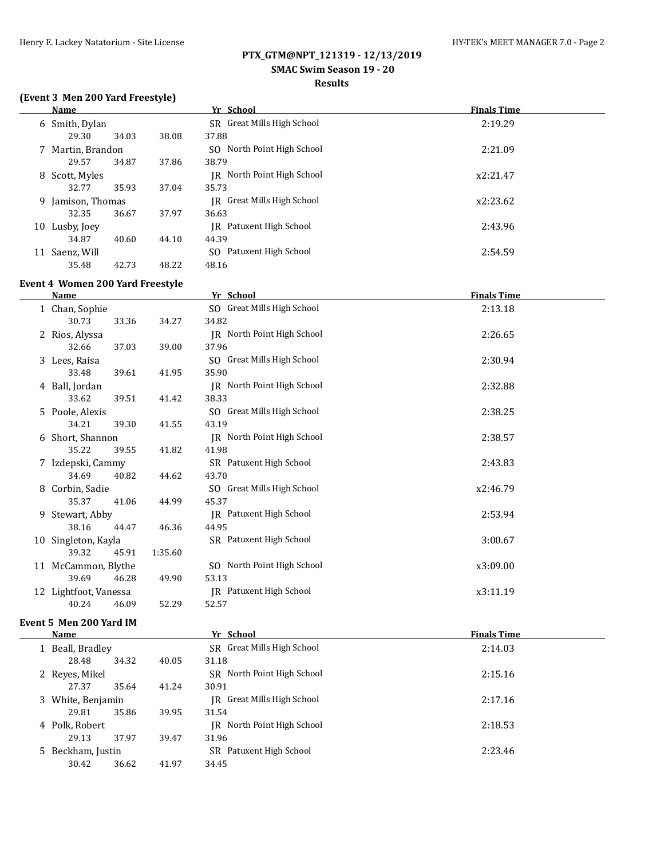#### **SMAC Swim Season 19 - 20**

#### **Results**

## **(Event 3 Men 200 Yard Freestyle)**

|    | Name              |       |       | Yr School                      | <b>Finals Time</b> |  |
|----|-------------------|-------|-------|--------------------------------|--------------------|--|
|    | 6 Smith, Dylan    |       |       | SR Great Mills High School     | 2:19.29            |  |
|    | 29.30             | 34.03 | 38.08 | 37.88                          |                    |  |
|    | 7 Martin, Brandon |       |       | North Point High School<br>SO. | 2:21.09            |  |
|    | 29.57             | 34.87 | 37.86 | 38.79                          |                    |  |
|    | 8 Scott, Myles    |       |       | IR North Point High School     | x2:21.47           |  |
|    | 32.77             | 35.93 | 37.04 | 35.73                          |                    |  |
| 9. | Jamison, Thomas   |       |       | IR Great Mills High School     | x2:23.62           |  |
|    | 32.35             | 36.67 | 37.97 | 36.63                          |                    |  |
| 10 | Lusby, Joey       |       |       | IR Patuxent High School        | 2:43.96            |  |
|    | 34.87             | 40.60 | 44.10 | 44.39                          |                    |  |
| 11 | Saenz, Will       |       |       | SO Patuxent High School        | 2:54.59            |  |
|    | 35.48             | 42.73 | 48.22 | 48.16                          |                    |  |

#### **Event 4 Women 200 Yard Freestyle**

|    | <b>Name</b>           |         | Yr School                  | <b>Finals Time</b> |
|----|-----------------------|---------|----------------------------|--------------------|
|    | 1 Chan, Sophie        |         | SO Great Mills High School | 2:13.18            |
|    | 30.73<br>33.36        | 34.27   | 34.82                      |                    |
|    | 2 Rios, Alyssa        |         | JR North Point High School | 2:26.65            |
|    | 32.66<br>37.03        | 39.00   | 37.96                      |                    |
| 3  | Lees, Raisa           |         | SO Great Mills High School | 2:30.94            |
|    | 33.48<br>39.61        | 41.95   | 35.90                      |                    |
|    | 4 Ball, Jordan        |         | JR North Point High School | 2:32.88            |
|    | 33.62<br>39.51        | 41.42   | 38.33                      |                    |
|    | 5 Poole, Alexis       |         | SO Great Mills High School | 2:38.25            |
|    | 34.21<br>39.30        | 41.55   | 43.19                      |                    |
|    | 6 Short, Shannon      |         | IR North Point High School | 2:38.57            |
|    | 35.22<br>39.55        | 41.82   | 41.98                      |                    |
|    | 7 Izdepski, Cammy     |         | SR Patuxent High School    | 2:43.83            |
|    | 34.69<br>40.82        | 44.62   | 43.70                      |                    |
| 8  | Corbin, Sadie         |         | SO Great Mills High School | x2:46.79           |
|    | 35.37<br>41.06        | 44.99   | 45.37                      |                    |
| 9. | Stewart, Abby         |         | JR Patuxent High School    | 2:53.94            |
|    | 38.16<br>44.47        | 46.36   | 44.95                      |                    |
| 10 | Singleton, Kayla      |         | SR Patuxent High School    | 3:00.67            |
|    | 39.32<br>45.91        | 1:35.60 |                            |                    |
|    | 11 McCammon, Blythe   |         | SO North Point High School | x3:09.00           |
|    | 39.69<br>46.28        | 49.90   | 53.13                      |                    |
|    | 12 Lightfoot, Vanessa |         | JR Patuxent High School    | x3:11.19           |
|    | 40.24<br>46.09        | 52.29   | 52.57                      |                    |

#### **Event 5 Men 200 Yard IM**

| Name              |       |       | Yr School                      | <b>Finals Time</b> |
|-------------------|-------|-------|--------------------------------|--------------------|
| 1 Beall, Bradley  |       |       | SR Great Mills High School     | 2:14.03            |
| 28.48             | 34.32 | 40.05 | 31.18                          |                    |
| 2 Reyes, Mikel    |       |       | North Point High School<br>SR. | 2:15.16            |
| 27.37             | 35.64 | 41.24 | 30.91                          |                    |
| 3 White, Benjamin |       |       | IR Great Mills High School     | 2:17.16            |
| 29.81             | 35.86 | 39.95 | 31.54                          |                    |
| 4 Polk, Robert    |       |       | IR North Point High School     | 2:18.53            |
| 29.13             | 37.97 | 39.47 | 31.96                          |                    |
| 5 Beckham, Justin |       |       | SR Patuxent High School        | 2:23.46            |
| 30.42             | 36.62 | 41.97 | 34.45                          |                    |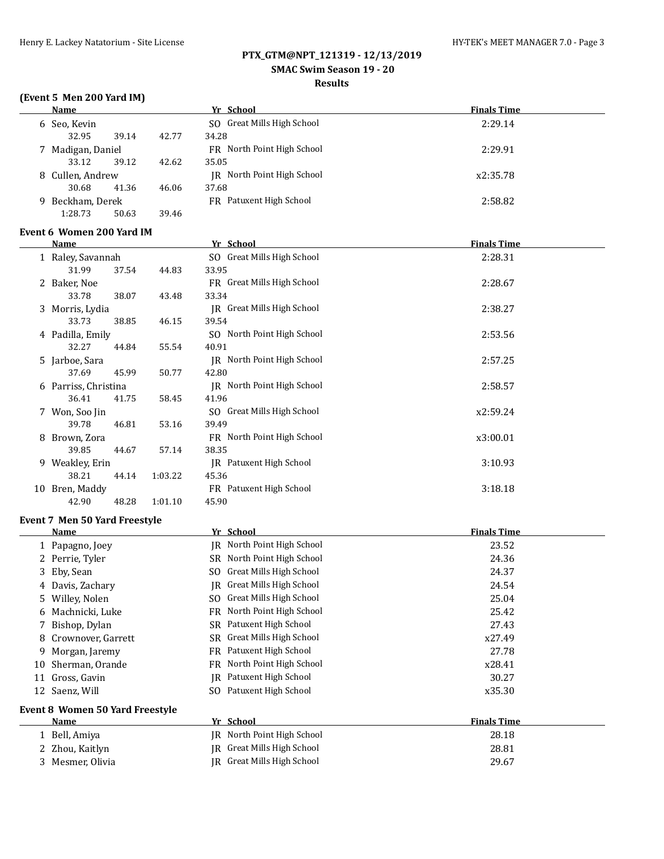## **SMAC Swim Season 19 - 20**

#### **Results**

# **(Event 5 Men 200 Yard IM)**

|    | <b>Name</b>                                  |         | Yr School                           | <b>Finals Time</b> |
|----|----------------------------------------------|---------|-------------------------------------|--------------------|
|    | 6 Seo, Kevin<br>32.95<br>39.14               | 42.77   | SO Great Mills High School<br>34.28 | 2:29.14            |
|    | 7 Madigan, Daniel<br>33.12<br>39.12          | 42.62   | FR North Point High School<br>35.05 | 2:29.91            |
|    | 8 Cullen, Andrew<br>30.68<br>41.36           | 46.06   | JR North Point High School<br>37.68 | x2:35.78           |
|    | 9 Beckham, Derek<br>1:28.73<br>50.63         | 39.46   | FR Patuxent High School             | 2:58.82            |
|    | Event 6 Women 200 Yard IM                    |         |                                     |                    |
|    | <b>Name</b>                                  |         | Yr School                           | <b>Finals Time</b> |
|    | 1 Raley, Savannah<br>31.99<br>37.54          | 44.83   | SO Great Mills High School<br>33.95 | 2:28.31            |
|    | 2 Baker, Noe<br>33.78<br>38.07               | 43.48   | FR Great Mills High School<br>33.34 | 2:28.67            |
|    | 3 Morris, Lydia<br>33.73<br>38.85            | 46.15   | JR Great Mills High School<br>39.54 | 2:38.27            |
|    | 4 Padilla, Emily<br>32.27<br>44.84           | 55.54   | SO North Point High School<br>40.91 | 2:53.56            |
|    | 5 Jarboe, Sara<br>37.69<br>45.99             | 50.77   | JR North Point High School<br>42.80 | 2:57.25            |
|    | 6 Parriss, Christina<br>36.41<br>41.75       | 58.45   | JR North Point High School<br>41.96 | 2:58.57            |
|    | 7 Won, Soo Jin<br>39.78<br>46.81             | 53.16   | SO Great Mills High School<br>39.49 | x2:59.24           |
|    | 8 Brown, Zora<br>39.85<br>44.67              | 57.14   | FR North Point High School<br>38.35 | x3:00.01           |
|    | 9 Weakley, Erin<br>38.21<br>44.14            | 1:03.22 | JR Patuxent High School<br>45.36    | 3:10.93            |
|    | 10 Bren, Maddy<br>42.90<br>48.28             | 1:01.10 | FR Patuxent High School<br>45.90    | 3:18.18            |
|    |                                              |         |                                     |                    |
|    | Event 7 Men 50 Yard Freestyle<br><b>Name</b> |         | Yr School                           | <b>Finals Time</b> |
|    | 1 Papagno, Joey                              |         | <b>IR</b> North Point High School   | 23.52              |
|    | 2 Perrie, Tyler                              |         | SR North Point High School          | 24.36              |
|    | Eby, Sean                                    |         | SO Great Mills High School          | 24.37              |
|    | 4 Davis, Zachary                             |         | <b>IR</b> Great Mills High School   | 24.54              |
| 5  | Willey, Nolen                                |         | SO Great Mills High School          | 25.04              |
| 6  | Machnicki, Luke                              |         | FR North Point High School          | 25.42              |
| 7  | Bishop, Dylan                                |         | SR Patuxent High School             | 27.43              |
| 8  | Crownover, Garrett                           |         | Great Mills High School<br>SR       | x27.49             |
| 9  | Morgan, Jaremy                               |         | Patuxent High School<br>FR          | 27.78              |
| 10 | Sherman, Orande                              |         | North Point High School<br>FR       | x28.41             |
|    | 11 Gross, Gavin                              |         | JR Patuxent High School             | 30.27              |
|    | 12 Saenz, Will                               |         | SO Patuxent High School             | x35.30             |
|    | Event 8 Women 50 Yard Freestyle              |         |                                     |                    |
|    | Name                                         |         | Yr School                           | <b>Finals Time</b> |
|    | 1 Bell, Amiya                                |         | JR North Point High School          | 28.18              |
|    | 2 Zhou, Kaitlyn                              |         | JR Great Mills High School          | 28.81              |
| 3  | Mesmer, Olivia                               |         | JR Great Mills High School          | 29.67              |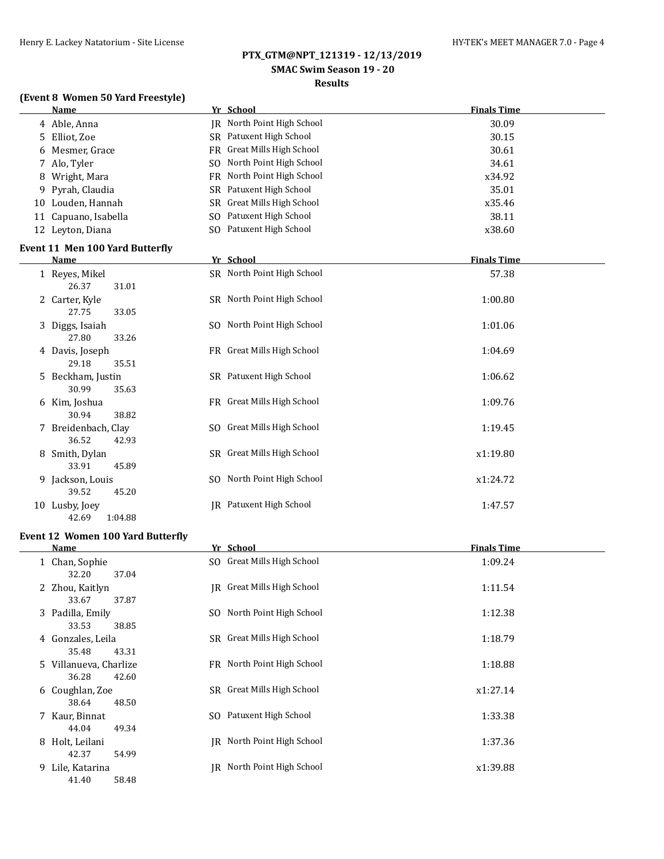# **SMAC Swim Season 19 - 20**

# **Results**

## **(Event 8 Women 50 Yard Freestyle)**

|   | <b>Name</b>                              | Yr School                      | <b>Finals Time</b> |
|---|------------------------------------------|--------------------------------|--------------------|
|   | 4 Able, Anna                             | JR North Point High School     | 30.09              |
|   | 5 Elliot, Zoe                            | SR Patuxent High School        | 30.15              |
| 6 | Mesmer, Grace                            | FR Great Mills High School     | 30.61              |
|   | 7 Alo, Tyler                             | SO North Point High School     | 34.61              |
| 8 | Wright, Mara                             | FR North Point High School     | x34.92             |
| 9 | Pyrah, Claudia                           | SR Patuxent High School        | 35.01              |
|   | 10 Louden, Hannah                        | SR Great Mills High School     | x35.46             |
|   | 11 Capuano, Isabella                     | SO Patuxent High School        | 38.11              |
|   | 12 Leyton, Diana                         | SO Patuxent High School        | x38.60             |
|   | Event 11 Men 100 Yard Butterfly          |                                |                    |
|   | <b>Name</b>                              | Yr School                      | <b>Finals Time</b> |
|   | 1 Reyes, Mikel                           | SR North Point High School     | 57.38              |
|   | 26.37<br>31.01                           |                                |                    |
|   | 2 Carter, Kyle                           | SR North Point High School     | 1:00.80            |
|   | 27.75<br>33.05                           |                                |                    |
|   | 3 Diggs, Isaiah                          | SO North Point High School     | 1:01.06            |
|   | 27.80<br>33.26                           |                                |                    |
|   | 4 Davis, Joseph                          | FR Great Mills High School     | 1:04.69            |
|   | 35.51<br>29.18                           |                                |                    |
|   | 5 Beckham, Justin                        | SR Patuxent High School        | 1:06.62            |
|   | 30.99<br>35.63                           |                                |                    |
|   | 6 Kim, Joshua                            | FR Great Mills High School     | 1:09.76            |
|   | 30.94<br>38.82                           |                                |                    |
|   | 7 Breidenbach, Clay<br>36.52<br>42.93    | SO Great Mills High School     | 1:19.45            |
|   | 8 Smith, Dylan                           | SR Great Mills High School     | x1:19.80           |
|   | 33.91<br>45.89                           |                                |                    |
|   | 9 Jackson, Louis                         | SO North Point High School     | x1:24.72           |
|   | 39.52<br>45.20                           |                                |                    |
|   | 10 Lusby, Joey                           | <b>IR</b> Patuxent High School | 1:47.57            |
|   | 1:04.88<br>42.69                         |                                |                    |
|   |                                          |                                |                    |
|   | <b>Event 12 Women 100 Yard Butterfly</b> |                                |                    |

| Name                   | Yr School                  | <b>Finals Time</b> |  |
|------------------------|----------------------------|--------------------|--|
| 1 Chan, Sophie         | SO Great Mills High School | 1:09.24            |  |
| 37.04<br>32.20         |                            |                    |  |
| 2 Zhou, Kaitlyn        | IR Great Mills High School | 1:11.54            |  |
| 37.87<br>33.67         |                            |                    |  |
| 3 Padilla, Emily       | SO North Point High School | 1:12.38            |  |
| 33.53<br>38.85         |                            |                    |  |
| 4 Gonzales, Leila      | SR Great Mills High School | 1:18.79            |  |
| 35.48<br>43.31         |                            |                    |  |
| 5 Villanueva, Charlize | FR North Point High School | 1:18.88            |  |
| 36.28<br>42.60         |                            |                    |  |
| 6 Coughlan, Zoe        | SR Great Mills High School | x1:27.14           |  |
| 48.50<br>38.64         |                            |                    |  |
|                        |                            |                    |  |
| 7 Kaur, Binnat         | SO Patuxent High School    | 1:33.38            |  |
| 49.34<br>44.04         |                            |                    |  |
| 8 Holt, Leilani        | IR North Point High School | 1:37.36            |  |
| 42.37<br>54.99         |                            |                    |  |
| 9 Lile, Katarina       | IR North Point High School | x1:39.88           |  |
| 41.40<br>58.48         |                            |                    |  |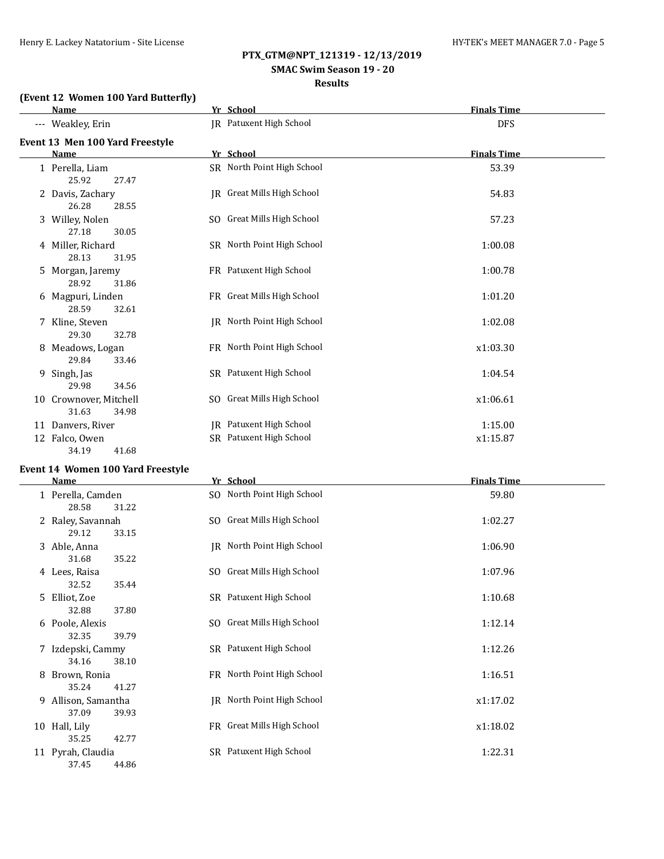# **SMAC Swim Season 19 - 20**

#### **Results**

#### **(Event 12 Women 100 Yard Butterfly)**

|   | <b>Name</b>                                           | Yr School                                                 | <b>Finals Time</b>  |  |
|---|-------------------------------------------------------|-----------------------------------------------------------|---------------------|--|
|   | --- Weakley, Erin                                     | JR Patuxent High School                                   | <b>DFS</b>          |  |
|   | Event 13 Men 100 Yard Freestyle<br>Name               | Yr School                                                 | <b>Finals Time</b>  |  |
|   | 1 Perella, Liam<br>25.92<br>27.47                     | SR North Point High School                                | 53.39               |  |
|   | 2 Davis, Zachary<br>26.28<br>28.55                    | JR Great Mills High School                                | 54.83               |  |
|   | 3 Willey, Nolen<br>27.18<br>30.05                     | SO Great Mills High School                                | 57.23               |  |
|   | 4 Miller, Richard<br>28.13<br>31.95                   | SR North Point High School                                | 1:00.08             |  |
| 5 | Morgan, Jaremy<br>28.92<br>31.86                      | FR Patuxent High School                                   | 1:00.78             |  |
|   | 6 Magpuri, Linden<br>28.59<br>32.61                   | FR Great Mills High School                                | 1:01.20             |  |
|   | 7 Kline, Steven<br>29.30<br>32.78                     | JR North Point High School                                | 1:02.08             |  |
|   | 8 Meadows, Logan<br>29.84<br>33.46                    | FR North Point High School                                | x1:03.30            |  |
| 9 | Singh, Jas<br>29.98<br>34.56                          | SR Patuxent High School                                   | 1:04.54             |  |
|   | 10 Crownover, Mitchell<br>31.63<br>34.98              | SO Great Mills High School                                | x1:06.61            |  |
|   | 11 Danvers, River<br>12 Falco, Owen<br>34.19<br>41.68 | <b>IR</b> Patuxent High School<br>SR Patuxent High School | 1:15.00<br>x1:15.87 |  |

# **Event 14 Women 100 Yard Freestyle**

|   | <b>Name</b>                |       | Yr School                  | <b>Finals Time</b> |  |
|---|----------------------------|-------|----------------------------|--------------------|--|
|   | 1 Perella, Camden<br>28.58 | 31.22 | SO North Point High School | 59.80              |  |
|   | 2 Raley, Savannah<br>29.12 | 33.15 | SO Great Mills High School | 1:02.27            |  |
|   | 3 Able, Anna<br>31.68      | 35.22 | JR North Point High School | 1:06.90            |  |
|   | 4 Lees, Raisa<br>32.52     | 35.44 | SO Great Mills High School | 1:07.96            |  |
|   | 5 Elliot, Zoe<br>32.88     | 37.80 | SR Patuxent High School    | 1:10.68            |  |
|   | 6 Poole, Alexis<br>32.35   | 39.79 | SO Great Mills High School | 1:12.14            |  |
|   | 7 Izdepski, Cammy<br>34.16 | 38.10 | SR Patuxent High School    | 1:12.26            |  |
| 8 | Brown, Ronia<br>35.24      | 41.27 | FR North Point High School | 1:16.51            |  |
| 9 | Allison, Samantha<br>37.09 | 39.93 | JR North Point High School | x1:17.02           |  |
|   | 10 Hall, Lily<br>35.25     | 42.77 | FR Great Mills High School | x1:18.02           |  |
|   | 11 Pyrah, Claudia<br>37.45 | 44.86 | SR Patuxent High School    | 1:22.31            |  |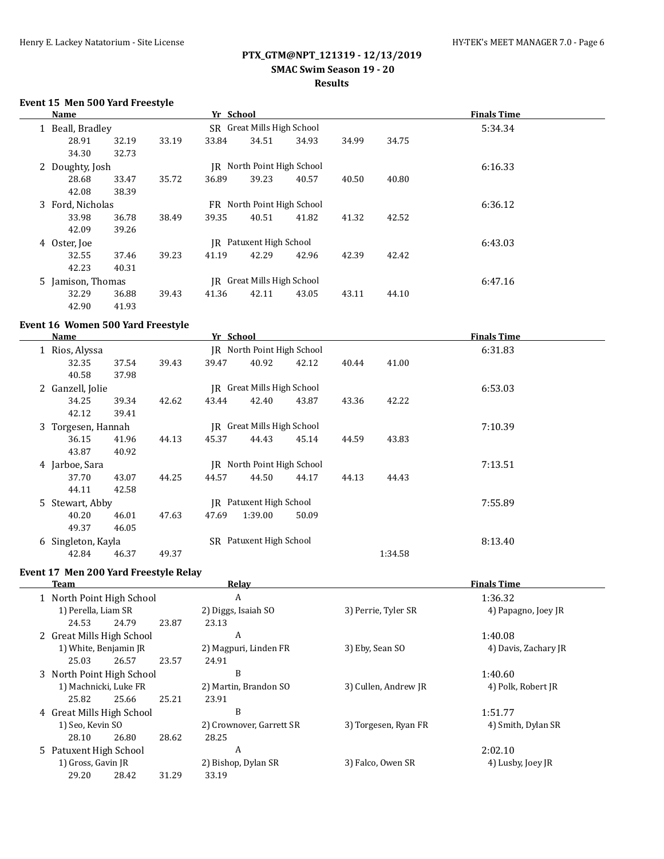# **SMAC Swim Season 19 - 20**

## **Results**

## **Event 15 Men 500 Yard Freestyle**

| Name              |       |       | Yr School |                            |       |       |       | <b>Finals Time</b> |  |
|-------------------|-------|-------|-----------|----------------------------|-------|-------|-------|--------------------|--|
| 1 Beall, Bradley  |       |       |           | SR Great Mills High School |       |       |       | 5:34.34            |  |
| 28.91             | 32.19 | 33.19 | 33.84     | 34.51                      | 34.93 | 34.99 | 34.75 |                    |  |
| 34.30             | 32.73 |       |           |                            |       |       |       |                    |  |
| 2 Doughty, Josh   |       |       |           | JR North Point High School |       |       |       | 6:16.33            |  |
| 28.68             | 33.47 | 35.72 | 36.89     | 39.23                      | 40.57 | 40.50 | 40.80 |                    |  |
| 42.08             | 38.39 |       |           |                            |       |       |       |                    |  |
| 3 Ford, Nicholas  |       |       |           | FR North Point High School |       |       |       | 6:36.12            |  |
| 33.98             | 36.78 | 38.49 | 39.35     | 40.51                      | 41.82 | 41.32 | 42.52 |                    |  |
| 42.09             | 39.26 |       |           |                            |       |       |       |                    |  |
| 4 Oster, Joe      |       |       |           | IR Patuxent High School    |       |       |       | 6:43.03            |  |
| 32.55             | 37.46 | 39.23 | 41.19     | 42.29                      | 42.96 | 42.39 | 42.42 |                    |  |
| 42.23             | 40.31 |       |           |                            |       |       |       |                    |  |
| 5 Jamison, Thomas |       |       | IR        | Great Mills High School    |       |       |       | 6:47.16            |  |
| 32.29             | 36.88 | 39.43 | 41.36     | 42.11                      | 43.05 | 43.11 | 44.10 |                    |  |
| 42.90             | 41.93 |       |           |                            |       |       |       |                    |  |

## **Event 16 Women 500 Yard Freestyle**

| Name               |       |       | Yr School |                         |       |       |         | <b>Finals Time</b> |  |
|--------------------|-------|-------|-----------|-------------------------|-------|-------|---------|--------------------|--|
| 1 Rios, Alyssa     |       |       | IR        | North Point High School |       |       |         | 6:31.83            |  |
| 32.35              | 37.54 | 39.43 | 39.47     | 40.92                   | 42.12 | 40.44 | 41.00   |                    |  |
| 40.58              | 37.98 |       |           |                         |       |       |         |                    |  |
| 2 Ganzell, Jolie   |       |       | IR        | Great Mills High School |       |       |         | 6:53.03            |  |
| 34.25              | 39.34 | 42.62 | 43.44     | 42.40                   | 43.87 | 43.36 | 42.22   |                    |  |
| 42.12              | 39.41 |       |           |                         |       |       |         |                    |  |
| 3 Torgesen, Hannah |       |       | IR        | Great Mills High School |       |       |         | 7:10.39            |  |
| 36.15              | 41.96 | 44.13 | 45.37     | 44.43                   | 45.14 | 44.59 | 43.83   |                    |  |
| 43.87              | 40.92 |       |           |                         |       |       |         |                    |  |
| 4 Jarboe, Sara     |       |       | IR        | North Point High School |       |       |         | 7:13.51            |  |
| 37.70              | 43.07 | 44.25 | 44.57     | 44.50                   | 44.17 | 44.13 | 44.43   |                    |  |
| 44.11              | 42.58 |       |           |                         |       |       |         |                    |  |
| 5 Stewart, Abby    |       |       | IR        | Patuxent High School    |       |       |         | 7:55.89            |  |
| 40.20              | 46.01 | 47.63 | 47.69     | 1:39.00                 | 50.09 |       |         |                    |  |
| 49.37              | 46.05 |       |           |                         |       |       |         |                    |  |
| 6 Singleton, Kayla |       |       | SR        | Patuxent High School    |       |       |         | 8:13.40            |  |
| 42.84              | 46.37 | 49.37 |           |                         |       |       | 1:34.58 |                    |  |

## **Event 17 Men 200 Yard Freestyle Relay**

| Team |                           |                                              |       | Relay                 | <b>Finals Time</b><br>1:36.32              |                      |  |
|------|---------------------------|----------------------------------------------|-------|-----------------------|--------------------------------------------|----------------------|--|
|      | 1 North Point High School |                                              |       | A                     |                                            |                      |  |
|      | 1) Perella, Liam SR       |                                              |       | 2) Diggs, Isaiah SO   | 3) Perrie, Tyler SR                        | 4) Papagno, Joey JR  |  |
|      | 24.53                     | 24.79                                        | 23.87 | 23.13                 |                                            |                      |  |
|      | 2 Great Mills High School |                                              |       | A                     |                                            | 1:40.08              |  |
|      | 1) White, Benjamin JR     |                                              |       | 2) Magpuri, Linden FR | 3) Eby, Sean SO                            | 4) Davis, Zachary JR |  |
|      | 25.03                     | 26.57                                        | 23.57 | 24.91                 |                                            |                      |  |
|      | 3 North Point High School |                                              |       | B                     |                                            | 1:40.60              |  |
|      | 1) Machnicki, Luke FR     |                                              |       | 2) Martin, Brandon SO | 3) Cullen, Andrew JR                       | 4) Polk, Robert JR   |  |
|      | 25.82                     | 25.66                                        | 25.21 | 23.91                 |                                            |                      |  |
|      | 4 Great Mills High School |                                              |       | B                     |                                            | 1:51.77              |  |
|      |                           | 1) Seo, Kevin SO<br>2) Crownover, Garrett SR |       |                       | 3) Torgesen, Ryan FR<br>4) Smith, Dylan SR |                      |  |
|      | 28.10                     | 26.80                                        | 28.62 | 28.25                 |                                            |                      |  |
|      | 5 Patuxent High School    |                                              |       | A                     |                                            | 2:02.10              |  |
|      | 1) Gross, Gavin JR        |                                              |       | 2) Bishop, Dylan SR   | 3) Falco, Owen SR                          | 4) Lusby, Joey JR    |  |
|      | 29.20                     | 28.42                                        | 31.29 | 33.19                 |                                            |                      |  |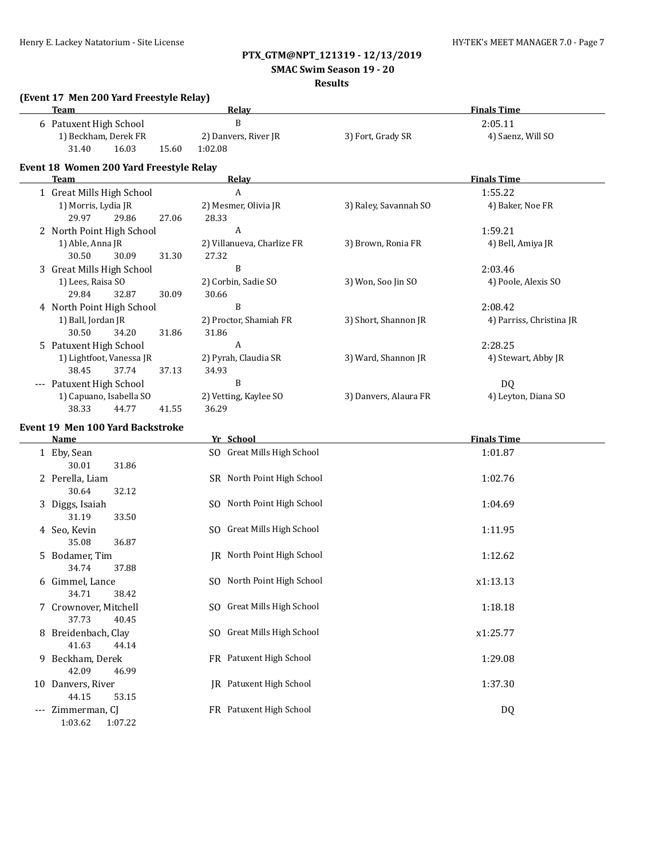# **SMAC Swim Season 19 - 20**

# **Results**

| (Event 17 Men 200 Yard Freestyle Relay)<br><b>Team</b> |       | <b>Relay</b>               |                       | <b>Finals Time</b>       |
|--------------------------------------------------------|-------|----------------------------|-----------------------|--------------------------|
| 6 Patuxent High School                                 |       | B                          |                       | 2:05.11                  |
| 1) Beckham, Derek FR                                   |       | 2) Danvers, River JR       | 3) Fort, Grady SR     | 4) Saenz, Will SO        |
| 31.40<br>16.03                                         | 15.60 | 1:02.08                    |                       |                          |
| Event 18 Women 200 Yard Freestyle Relay                |       |                            |                       |                          |
| <b>Team</b>                                            |       | Relay                      |                       | <b>Finals Time</b>       |
| 1 Great Mills High School                              |       | A                          |                       | 1:55.22                  |
| 1) Morris, Lydia JR                                    |       | 2) Mesmer, Olivia JR       | 3) Raley, Savannah SO | 4) Baker, Noe FR         |
| 29.97<br>29.86                                         | 27.06 | 28.33                      |                       |                          |
| 2 North Point High School                              |       | $\boldsymbol{A}$           |                       | 1:59.21                  |
| 1) Able, Anna JR                                       |       | 2) Villanueva, Charlize FR | 3) Brown, Ronia FR    | 4) Bell, Amiya JR        |
| 30.50<br>30.09                                         | 31.30 | 27.32                      |                       |                          |
| 3 Great Mills High School                              |       | B                          |                       | 2:03.46                  |
| 1) Lees, Raisa SO                                      |       | 2) Corbin, Sadie SO        | 3) Won, Soo Jin SO    | 4) Poole, Alexis SO      |
| 29.84<br>32.87                                         | 30.09 | 30.66                      |                       |                          |
| 4 North Point High School                              |       | $\overline{B}$             |                       | 2:08.42                  |
| 1) Ball, Jordan JR                                     |       | 2) Proctor, Shamiah FR     | 3) Short, Shannon JR  | 4) Parriss, Christina JR |
| 30.50<br>34.20                                         | 31.86 | 31.86                      |                       |                          |
| 5 Patuxent High School                                 |       | A                          |                       | 2:28.25                  |
| 1) Lightfoot, Vanessa JR                               |       | 2) Pyrah, Claudia SR       | 3) Ward, Shannon JR   | 4) Stewart, Abby JR      |
| 38.45<br>37.74                                         | 37.13 | 34.93                      |                       |                          |
| --- Patuxent High School                               |       | B                          |                       | DQ                       |
| 1) Capuano, Isabella SO                                |       | 2) Vetting, Kaylee SO      | 3) Danvers, Alaura FR | 4) Leyton, Diana SO      |
| 38.33<br>44.77                                         | 41.55 | 36.29                      |                       |                          |
| <b>Event 19 Men 100 Yard Backstroke</b>                |       |                            |                       |                          |
| <b>Name</b>                                            |       | Yr School                  |                       | <b>Finals Time</b>       |
| 1 Eby, Sean                                            |       | SO Great Mills High School |                       | 1:01.87                  |
| 30.01<br>31.86                                         |       |                            |                       |                          |
| 2 Perella, Liam                                        |       | SR North Point High School |                       | 1:02.76                  |
| 30.64<br>32.12                                         |       |                            |                       |                          |
| 3 Diggs, Isaiah                                        |       | SO North Point High School |                       | 1:04.69                  |
| 31.19<br>33.50                                         |       |                            |                       |                          |
| 4 Seo, Kevin                                           |       | SO Great Mills High School |                       | 1:11.95                  |
| 35.08<br>36.87                                         |       |                            |                       |                          |
| 5 Bodamer, Tim                                         |       | JR North Point High School |                       | 1:12.62                  |
| 34.74<br>37.88                                         |       |                            |                       |                          |
| 6 Gimmel, Lance                                        |       | SO North Point High School |                       | x1:13.13                 |
| 34.71<br>38.42                                         |       |                            |                       |                          |
| 7 Crownover, Mitchell                                  |       | SO Great Mills High School |                       | 1:18.18                  |

8 Breidenbach, Clay SO Great Mills High School x1:25.77 41.63 44.14 9 Beckham, Derek FR Patuxent High School 1:29.08 42.09 46.99

37.73 40.45

10 Danvers, River 1:37.30 44.15 53.15 --- Zimmerman, CJ **FR** Patuxent High School **COV** DQ

1:03.62 1:07.22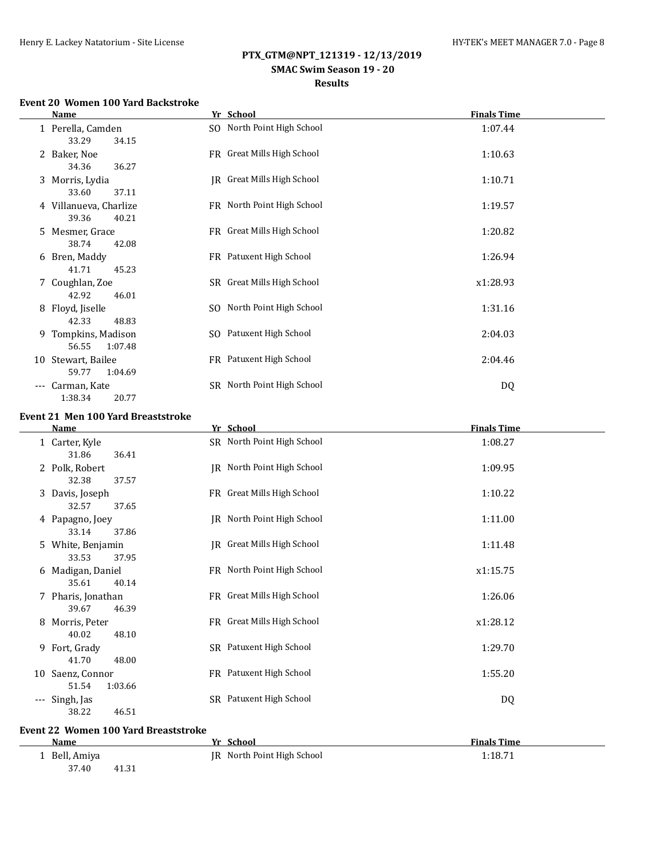# **SMAC Swim Season 19 - 20 Results**

#### **Event 20 Women 100 Yard Backstroke**

|       | Name                                     | Yr School                  | <b>Finals Time</b> |
|-------|------------------------------------------|----------------------------|--------------------|
|       | 1 Perella, Camden<br>33.29<br>34.15      | SO North Point High School | 1:07.44            |
|       | 2 Baker, Noe<br>34.36<br>36.27           | FR Great Mills High School | 1:10.63            |
|       | 3 Morris, Lydia<br>37.11<br>33.60        | JR Great Mills High School | 1:10.71            |
|       | 4 Villanueva, Charlize<br>39.36<br>40.21 | FR North Point High School | 1:19.57            |
|       | 5 Mesmer, Grace<br>38.74<br>42.08        | FR Great Mills High School | 1:20.82            |
|       | 6 Bren, Maddy<br>41.71<br>45.23          | FR Patuxent High School    | 1:26.94            |
|       | 7 Coughlan, Zoe<br>42.92<br>46.01        | SR Great Mills High School | x1:28.93           |
| 8     | Floyd, Jiselle<br>42.33<br>48.83         | SO North Point High School | 1:31.16            |
| 9.    | Tompkins, Madison<br>56.55<br>1:07.48    | SO Patuxent High School    | 2:04.03            |
|       | 10 Stewart, Bailee<br>59.77<br>1:04.69   | FR Patuxent High School    | 2:04.46            |
| $---$ | Carman, Kate<br>1:38.34<br>20.77         | SR North Point High School | DQ                 |

#### **Event 21 Men 100 Yard Breaststroke**

|       | Name                                        | Yr School                  | <b>Finals Time</b> |  |
|-------|---------------------------------------------|----------------------------|--------------------|--|
|       | 1 Carter, Kyle<br>31.86<br>36.41            | SR North Point High School | 1:08.27            |  |
|       | 2 Polk, Robert<br>32.38<br>37.57            | JR North Point High School | 1:09.95            |  |
|       | 3 Davis, Joseph<br>32.57<br>37.65           | FR Great Mills High School | 1:10.22            |  |
|       | 4 Papagno, Joey<br>33.14<br>37.86           | JR North Point High School | 1:11.00            |  |
|       | 5 White, Benjamin<br>33.53<br>37.95         | JR Great Mills High School | 1:11.48            |  |
|       | 6 Madigan, Daniel<br>35.61<br>40.14         | FR North Point High School | x1:15.75           |  |
|       | 7 Pharis, Jonathan<br>39.67<br>46.39        | FR Great Mills High School | 1:26.06            |  |
| 8     | Morris, Peter<br>40.02<br>48.10             | FR Great Mills High School | x1:28.12           |  |
|       | 9 Fort, Grady<br>41.70<br>48.00             | SR Patuxent High School    | 1:29.70            |  |
|       | 10 Saenz, Connor<br>51.54<br>1:03.66        | FR Patuxent High School    | 1:55.20            |  |
| $---$ | Singh, Jas<br>46.51<br>38.22                | SR Patuxent High School    | DQ                 |  |
|       | <b>Event 22 Women 100 Yard Breaststroke</b> |                            |                    |  |

| Name           | - School<br>Vr.               | <b>Finals Time</b> |
|----------------|-------------------------------|--------------------|
| Bell, Amiya    | North Point High School<br>IR | 1:18.71            |
| 37.40<br>41.31 |                               |                    |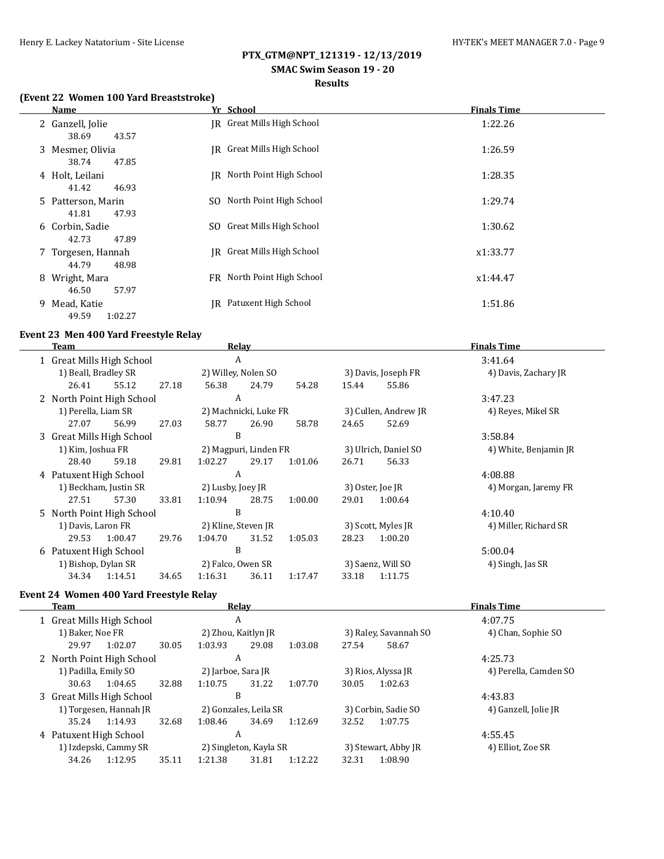# **SMAC Swim Season 19 - 20**

# **Results**

## **(Event 22 Women 100 Yard Breaststroke)**

| Name                                  | Yr School                  | <b>Finals Time</b> |
|---------------------------------------|----------------------------|--------------------|
| 2 Ganzell, Jolie<br>38.69<br>43.57    | IR Great Mills High School | 1:22.26            |
| 3 Mesmer, Olivia<br>38.74<br>47.85    | IR Great Mills High School | 1:26.59            |
| 4 Holt, Leilani<br>41.42<br>46.93     | IR North Point High School | 1:28.35            |
| 5 Patterson, Marin<br>47.93<br>41.81  | SO North Point High School | 1:29.74            |
| 6 Corbin, Sadie<br>42.73<br>47.89     | SO Great Mills High School | 1:30.62            |
| 7 Torgesen, Hannah<br>44.79<br>48.98  | IR Great Mills High School | x1:33.77           |
| Wright, Mara<br>8<br>57.97<br>46.50   | FR North Point High School | x1:44.47           |
| Mead, Katie<br>9.<br>49.59<br>1:02.27 | IR Patuxent High School    | 1:51.86            |

#### **Event 23 Men 400 Yard Freestyle Relay**

L,

| Team                           |                       |       |                     | Relav                 |         |       |                      | <b>Finals Time</b>    |
|--------------------------------|-----------------------|-------|---------------------|-----------------------|---------|-------|----------------------|-----------------------|
| A<br>1 Great Mills High School |                       |       |                     | 3:41.64               |         |       |                      |                       |
| 1) Beall, Bradley SR           |                       |       |                     | 2) Willey, Nolen SO   |         |       | 3) Davis, Joseph FR  | 4) Davis, Zachary JR  |
| 26.41                          | 55.12                 | 27.18 | 56.38               | 24.79                 | 54.28   | 15.44 | 55.86                |                       |
| 2 North Point High School      |                       |       | A                   |                       |         |       |                      | 3:47.23               |
| 1) Perella, Liam SR            |                       |       |                     | 2) Machnicki, Luke FR |         |       | 3) Cullen, Andrew JR | 4) Reyes, Mikel SR    |
| 27.07                          | 56.99                 | 27.03 | 58.77               | 26.90                 | 58.78   | 24.65 | 52.69                |                       |
| 3 Great Mills High School      |                       |       | B                   |                       |         |       |                      | 3:58.84               |
| 1) Kim, Joshua FR              |                       |       |                     | 2) Magpuri, Linden FR |         |       | 3) Ulrich, Daniel SO | 4) White, Benjamin JR |
| 28.40                          | 59.18                 | 29.81 | 1:02.27             | 29.17                 | 1:01.06 | 26.71 | 56.33                |                       |
| 4 Patuxent High School         |                       |       | A                   |                       |         |       |                      | 4:08.88               |
|                                | 1) Beckham, Justin SR |       | 2) Lusby, Joey JR   |                       |         |       | 3) Oster, Joe JR     | 4) Morgan, Jaremy FR  |
| 27.51                          | 57.30                 | 33.81 | 1:10.94             | 28.75                 | 1:00.00 | 29.01 | 1:00.64              |                       |
| 5 North Point High School      |                       |       | B                   |                       |         |       |                      | 4:10.40               |
| 1) Davis, Laron FR             |                       |       | 2) Kline, Steven JR |                       |         |       | 3) Scott, Myles JR   | 4) Miller, Richard SR |
| 29.53                          | 1:00.47               | 29.76 | 1:04.70             | 31.52                 | 1:05.03 | 28.23 | 1:00.20              |                       |
| 6 Patuxent High School         |                       |       | B                   |                       |         |       |                      | 5:00.04               |
| 1) Bishop, Dylan SR            |                       |       | 2) Falco, Owen SR   |                       |         |       | 3) Saenz, Will SO    | 4) Singh, Jas SR      |
| 34.34                          | 1:14.51               | 34.65 | 1:16.31             | 36.11                 | 1:17.47 | 33.18 | 1:11.75              |                       |

## **Event 24 Women 400 Yard Freestyle Relay**

| Team                   |                           |       |                     | Relay                  |         |       |                       | <b>Finals Time</b>    |
|------------------------|---------------------------|-------|---------------------|------------------------|---------|-------|-----------------------|-----------------------|
|                        | 1 Great Mills High School |       | A                   |                        |         |       |                       | 4:07.75               |
| 1) Baker, Noe FR       |                           |       | 2) Zhou, Kaitlyn JR |                        |         |       | 3) Raley, Savannah SO | 4) Chan, Sophie SO    |
| 29.97                  | 1:02.07                   | 30.05 | 1:03.93             | 29.08                  | 1:03.08 | 27.54 | 58.67                 |                       |
|                        | 2 North Point High School |       | A                   |                        |         |       |                       | 4:25.73               |
| 1) Padilla, Emily SO   |                           |       | 2) Jarboe, Sara JR  |                        |         |       | 3) Rios, Alyssa JR    | 4) Perella, Camden SO |
| 30.63                  | 1:04.65                   | 32.88 | 1:10.75             | 31.22                  | 1:07.70 | 30.05 | 1:02.63               |                       |
|                        | 3 Great Mills High School |       | B                   |                        |         |       |                       | 4:43.83               |
|                        | 1) Torgesen, Hannah JR    |       |                     | 2) Gonzales, Leila SR  |         |       | 3) Corbin, Sadie SO   | 4) Ganzell, Jolie JR  |
| 35.24                  | 1:14.93                   | 32.68 | 1:08.46             | 34.69                  | 1:12.69 | 32.52 | 1:07.75               |                       |
| 4 Patuxent High School |                           |       | A                   |                        |         |       |                       | 4:55.45               |
|                        | 1) Izdepski, Cammy SR     |       |                     | 2) Singleton, Kayla SR |         |       | 3) Stewart, Abby JR   | 4) Elliot, Zoe SR     |
| 34.26                  | 1:12.95                   | 35.11 | 1:21.38             | 31.81                  | 1:12.22 | 32.31 | 1:08.90               |                       |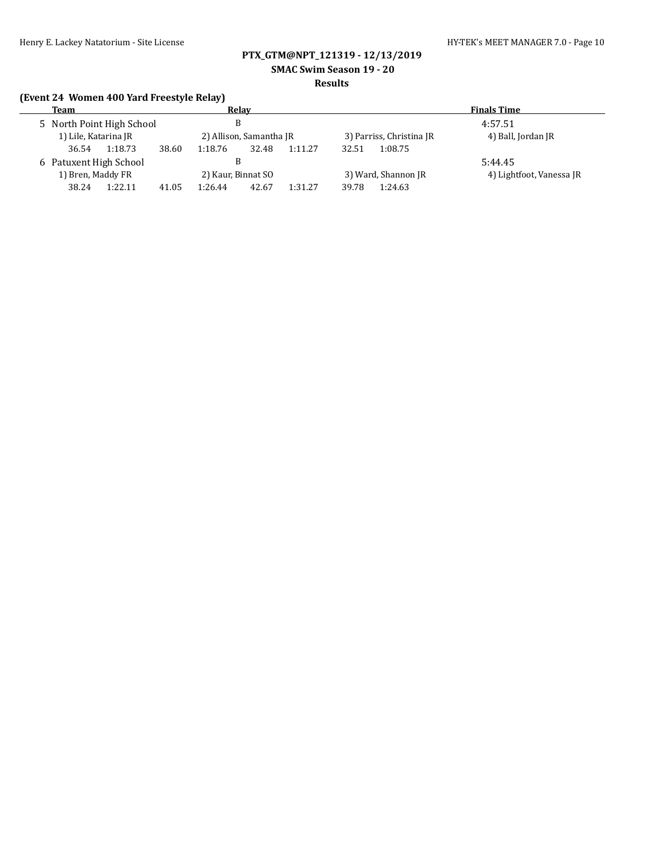**SMAC Swim Season 19 - 20**

#### **Results**

# **(Event 24 Women 400 Yard Freestyle Relay)**

| Team                      |                  | Relav                   | <b>Finals Time</b>       |                          |  |
|---------------------------|------------------|-------------------------|--------------------------|--------------------------|--|
| 5 North Point High School |                  |                         | 4:57.51                  |                          |  |
| 1) Lile, Katarina JR      |                  | 2) Allison, Samantha JR | 3) Parriss, Christina JR | 4) Ball, Jordan JR       |  |
| 1:18.73<br>36.54          | 38.60<br>1:18.76 | 32.48<br>1:11.27        | 1:08.75<br>32.51         |                          |  |
| 6 Patuxent High School    |                  |                         |                          | 5:44.45                  |  |
| 1) Bren, Maddy FR         |                  | 2) Kaur, Binnat SO      | 3) Ward, Shannon JR      | 4) Lightfoot, Vanessa JR |  |
| 1:22.11<br>38.24          | 41.05<br>1:26.44 | 1:31.27<br>42.67        | 1:24.63<br>39.78         |                          |  |